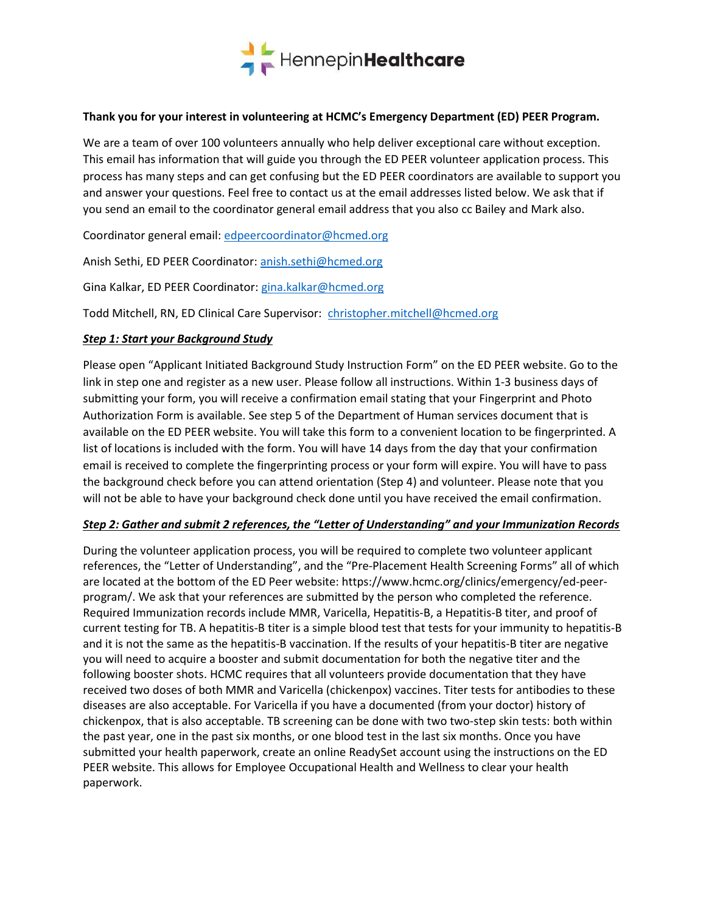

#### Thank you for your interest in volunteering at HCMC's Emergency Department (ED) PEER Program.

We are a team of over 100 volunteers annually who help deliver exceptional care without exception. This email has information that will guide you through the ED PEER volunteer application process. This process has many steps and can get confusing but the ED PEER coordinators are available to support you and answer your questions. Feel free to contact us at the email addresses listed below. We ask that if you send an email to the coordinator general email address that you also cc Bailey and Mark also.

Coordinator general email: edpeercoordinator@hcmed.org

Anish Sethi, ED PEER Coordinator: anish.sethi@hcmed.org

Gina Kalkar, ED PEER Coordinator: gina.kalkar@hcmed.org

Todd Mitchell, RN, ED Clinical Care Supervisor: christopher.mitchell@hcmed.org

### **Step 1: Start your Background Study**

Please open "Applicant Initiated Background Study Instruction Form" on the ED PEER website. Go to the link in step one and register as a new user. Please follow all instructions. Within 1-3 business days of submitting your form, you will receive a confirmation email stating that your Fingerprint and Photo Authorization Form is available. See step 5 of the Department of Human services document that is available on the ED PEER website. You will take this form to a convenient location to be fingerprinted. A list of locations is included with the form. You will have 14 days from the day that your confirmation email is received to complete the fingerprinting process or your form will expire. You will have to pass the background check before you can attend orientation (Step 4) and volunteer. Please note that you will not be able to have your background check done until you have received the email confirmation.

### Step 2: Gather and submit 2 references, the "Letter of Understanding" and your Immunization Records

During the volunteer application process, you will be required to complete two volunteer applicant references, the "Letter of Understanding", and the "Pre-Placement Health Screening Forms" all of which are located at the bottom of the ED Peer website: https://www.hcmc.org/clinics/emergency/ed-peerprogram/. We ask that your references are submitted by the person who completed the reference. Required Immunization records include MMR, Varicella, Hepatitis-B, a Hepatitis-B titer, and proof of current testing for TB. A hepatitis-B titer is a simple blood test that tests for your immunity to hepatitis-B and it is not the same as the hepatitis-B vaccination. If the results of your hepatitis-B titer are negative you will need to acquire a booster and submit documentation for both the negative titer and the following booster shots. HCMC requires that all volunteers provide documentation that they have received two doses of both MMR and Varicella (chickenpox) vaccines. Titer tests for antibodies to these diseases are also acceptable. For Varicella if you have a documented (from your doctor) history of chickenpox, that is also acceptable. TB screening can be done with two two-step skin tests: both within the past year, one in the past six months, or one blood test in the last six months. Once you have submitted your health paperwork, create an online ReadySet account using the instructions on the ED PEER website. This allows for Employee Occupational Health and Wellness to clear your health paperwork.